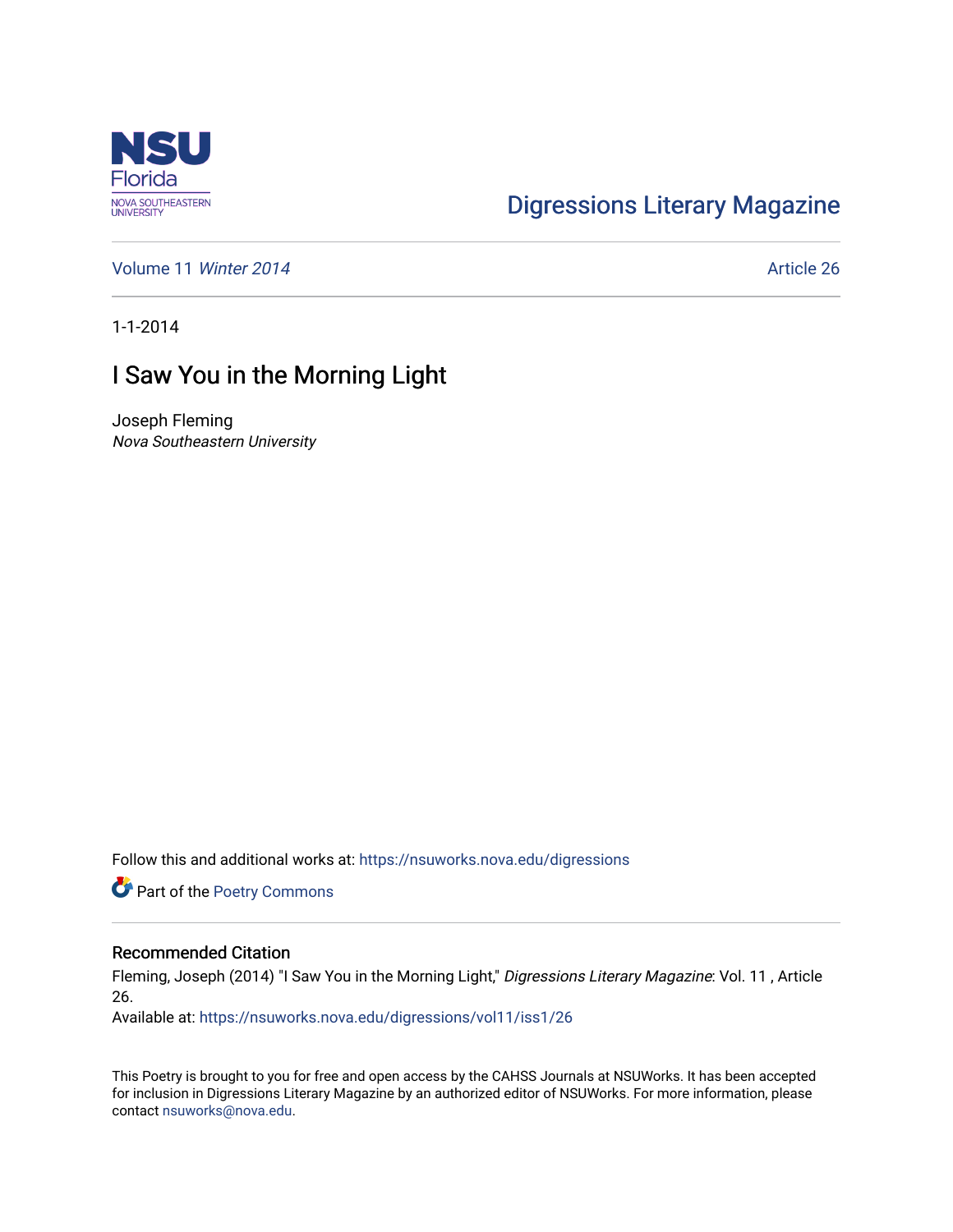

# [Digressions Literary Magazine](https://nsuworks.nova.edu/digressions)

[Volume 11](https://nsuworks.nova.edu/digressions/vol11) Winter 2014 **Article 26** Article 26

1-1-2014

## I Saw You in the Morning Light

Joseph Fleming Nova Southeastern University

Follow this and additional works at: [https://nsuworks.nova.edu/digressions](https://nsuworks.nova.edu/digressions?utm_source=nsuworks.nova.edu%2Fdigressions%2Fvol11%2Fiss1%2F26&utm_medium=PDF&utm_campaign=PDFCoverPages) 

Part of the [Poetry Commons](http://network.bepress.com/hgg/discipline/1153?utm_source=nsuworks.nova.edu%2Fdigressions%2Fvol11%2Fiss1%2F26&utm_medium=PDF&utm_campaign=PDFCoverPages) 

#### Recommended Citation

Fleming, Joseph (2014) "I Saw You in the Morning Light," Digressions Literary Magazine: Vol. 11 , Article 26.

Available at: [https://nsuworks.nova.edu/digressions/vol11/iss1/26](https://nsuworks.nova.edu/digressions/vol11/iss1/26?utm_source=nsuworks.nova.edu%2Fdigressions%2Fvol11%2Fiss1%2F26&utm_medium=PDF&utm_campaign=PDFCoverPages)

This Poetry is brought to you for free and open access by the CAHSS Journals at NSUWorks. It has been accepted for inclusion in Digressions Literary Magazine by an authorized editor of NSUWorks. For more information, please contact [nsuworks@nova.edu.](mailto:nsuworks@nova.edu)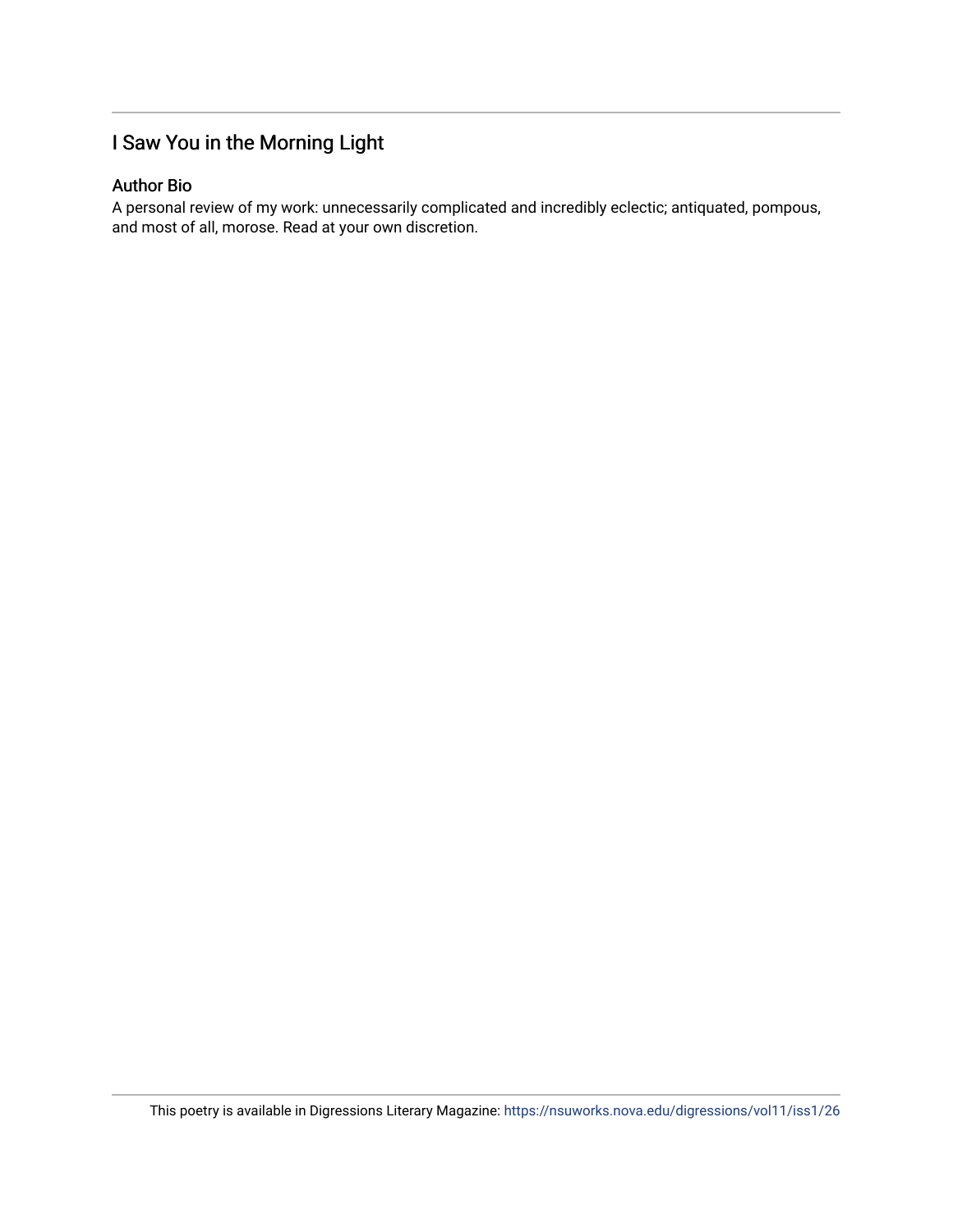### I Saw You in the Morning Light

### Author Bio

A personal review of my work: unnecessarily complicated and incredibly eclectic; antiquated, pompous, and most of all, morose. Read at your own discretion.